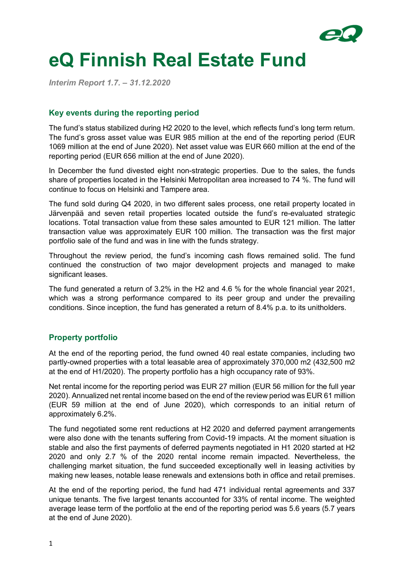

# **eQ Finnish Real Estate Fund**

*Interim Report 1.7. – 31.12.2020*

### **Key events during the reporting period**

The fund's status stabilized during H2 2020 to the level, which reflects fund's long term return. The fund's gross asset value was EUR 985 million at the end of the reporting period (EUR 1069 million at the end of June 2020). Net asset value was EUR 660 million at the end of the reporting period (EUR 656 million at the end of June 2020).

In December the fund divested eight non-strategic properties. Due to the sales, the funds share of properties located in the Helsinki Metropolitan area increased to 74 %. The fund will continue to focus on Helsinki and Tampere area.

The fund sold during Q4 2020, in two different sales process, one retail property located in Järvenpää and seven retail properties located outside the fund's re-evaluated strategic locations. Total transaction value from these sales amounted to EUR 121 million. The latter transaction value was approximately EUR 100 million. The transaction was the first major portfolio sale of the fund and was in line with the funds strategy.

Throughout the review period, the fund's incoming cash flows remained solid. The fund continued the construction of two major development projects and managed to make significant leases.

The fund generated a return of 3.2% in the H2 and 4.6 % for the whole financial year 2021, which was a strong performance compared to its peer group and under the prevailing conditions. Since inception, the fund has generated a return of 8.4% p.a. to its unitholders.

# **Property portfolio**

At the end of the reporting period, the fund owned 40 real estate companies, including two partly-owned properties with a total leasable area of approximately 370,000 m2 (432,500 m2 at the end of H1/2020). The property portfolio has a high occupancy rate of 93%.

Net rental income for the reporting period was EUR 27 million (EUR 56 million for the full year 2020). Annualized net rental income based on the end of the review period was EUR 61 million (EUR 59 million at the end of June 2020), which corresponds to an initial return of approximately 6.2%.

The fund negotiated some rent reductions at H2 2020 and deferred payment arrangements were also done with the tenants suffering from Covid-19 impacts. At the moment situation is stable and also the first payments of deferred payments negotiated in H1 2020 started at H2 2020 and only 2.7 % of the 2020 rental income remain impacted. Nevertheless, the challenging market situation, the fund succeeded exceptionally well in leasing activities by making new leases, notable lease renewals and extensions both in office and retail premises.

At the end of the reporting period, the fund had 471 individual rental agreements and 337 unique tenants. The five largest tenants accounted for 33% of rental income. The weighted average lease term of the portfolio at the end of the reporting period was 5.6 years (5.7 years at the end of June 2020).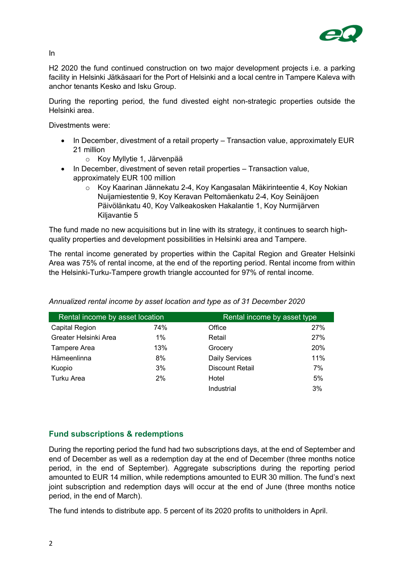

In

H2 2020 the fund continued construction on two major development projects i.e. a parking facility in Helsinki Jätkäsaari for the Port of Helsinki and a local centre in Tampere Kaleva with anchor tenants Kesko and Isku Group.

During the reporting period, the fund divested eight non-strategic properties outside the Helsinki area.

Divestments were:

- In December, divestment of a retail property Transaction value, approximately EUR 21 million
	- o Koy Myllytie 1, Järvenpää
- In December, divestment of seven retail properties Transaction value, approximately EUR 100 million
	- o Koy Kaarinan Jännekatu 2-4, Koy Kangasalan Mäkirinteentie 4, Koy Nokian Nuijamiestentie 9, Koy Keravan Peltomäenkatu 2-4, Koy Seinäjoen Päivölänkatu 40, Koy Valkeakosken Hakalantie 1, Koy Nurmijärven Kiljavantie 5

The fund made no new acquisitions but in line with its strategy, it continues to search highquality properties and development possibilities in Helsinki area and Tampere.

The rental income generated by properties within the Capital Region and Greater Helsinki Area was 75% of rental income, at the end of the reporting period. Rental income from within the Helsinki-Turku-Tampere growth triangle accounted for 97% of rental income.

| Rental income by asset location |       | Rental income by asset type |     |
|---------------------------------|-------|-----------------------------|-----|
| Capital Region                  | 74%   | Office                      | 27% |
| Greater Helsinki Area           | $1\%$ | Retail                      | 27% |
| <b>Tampere Area</b>             | 13%   | Grocery                     | 20% |
| Hämeenlinna                     | 8%    | <b>Daily Services</b>       | 11% |
| Kuopio                          | 3%    | <b>Discount Retail</b>      | 7%  |
| Turku Area                      | 2%    | Hotel                       | 5%  |
|                                 |       | Industrial                  | 3%  |

*Annualized rental income by asset location and type as of 31 December 2020*

# **Fund subscriptions & redemptions**

During the reporting period the fund had two subscriptions days, at the end of September and end of December as well as a redemption day at the end of December (three months notice period, in the end of September). Aggregate subscriptions during the reporting period amounted to EUR 14 million, while redemptions amounted to EUR 30 million. The fund's next joint subscription and redemption days will occur at the end of June (three months notice period, in the end of March).

The fund intends to distribute app. 5 percent of its 2020 profits to unitholders in April.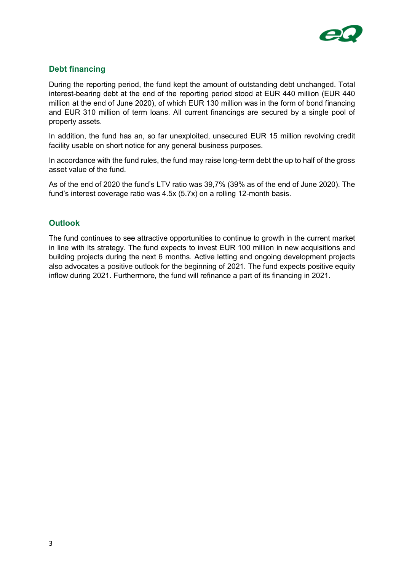

## **Debt financing**

During the reporting period, the fund kept the amount of outstanding debt unchanged. Total interest-bearing debt at the end of the reporting period stood at EUR 440 million (EUR 440 million at the end of June 2020), of which EUR 130 million was in the form of bond financing and EUR 310 million of term loans. All current financings are secured by a single pool of property assets.

In addition, the fund has an, so far unexploited, unsecured EUR 15 million revolving credit facility usable on short notice for any general business purposes.

In accordance with the fund rules, the fund may raise long-term debt the up to half of the gross asset value of the fund.

As of the end of 2020 the fund's LTV ratio was 39,7% (39% as of the end of June 2020). The fund's interest coverage ratio was 4.5x (5.7x) on a rolling 12-month basis.

#### **Outlook**

The fund continues to see attractive opportunities to continue to growth in the current market in line with its strategy. The fund expects to invest EUR 100 million in new acquisitions and building projects during the next 6 months. Active letting and ongoing development projects also advocates a positive outlook for the beginning of 2021. The fund expects positive equity inflow during 2021. Furthermore, the fund will refinance a part of its financing in 2021.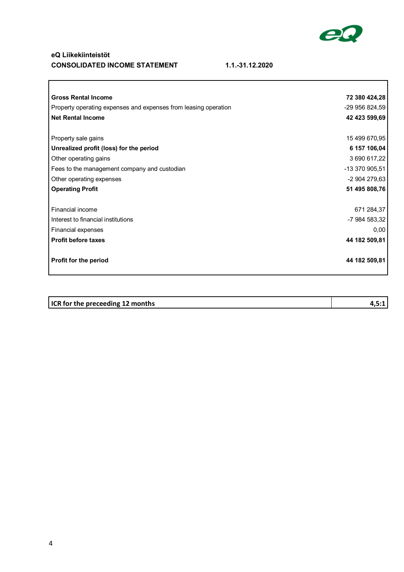

٦

#### **eQ Liikekiinteistöt CONSOLIDATED INCOME STATEMENT 1.1.-31.12.2020**

 $\overline{\phantom{a}}$ 

| <b>Gross Rental Income</b>                                      | 72 380 424,28  |
|-----------------------------------------------------------------|----------------|
| Property operating expenses and expenses from leasing operation | -29 956 824,59 |
| <b>Net Rental Income</b>                                        | 42 423 599,69  |
|                                                                 |                |
| Property sale gains                                             | 15 499 670,95  |
| Unrealized profit (loss) for the period                         | 6 157 106,04   |
| Other operating gains                                           | 3 690 617,22   |
| Fees to the management company and custodian                    | -13 370 905,51 |
| Other operating expenses                                        | -2 904 279,63  |
| <b>Operating Profit</b>                                         | 51 495 808,76  |
|                                                                 |                |
| Financial income                                                | 671 284,37     |
| Interest to financial institutions                              | -7 984 583,32  |
| Financial expenses                                              | 0,00           |
| <b>Profit before taxes</b>                                      | 44 182 509,81  |
| Profit for the period                                           | 44 182 509,81  |
|                                                                 |                |

| <b>ICR</b> for the preceeding 12 months |  |
|-----------------------------------------|--|
|                                         |  |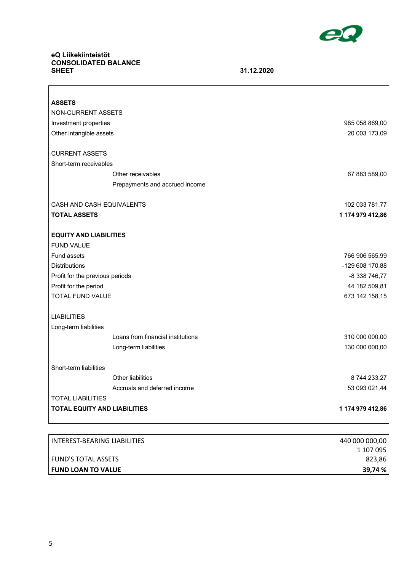

٦

# **eQ Liikekiinteistöt CONSOLIDATED BALANCE**

 $\Gamma$ 

**SHEET 31.12.2020**

| <b>ASSETS</b>                                      |                  |
|----------------------------------------------------|------------------|
| NON-CURRENT ASSETS                                 |                  |
| Investment properties                              | 985 058 869,00   |
| Other intangible assets                            | 20 003 173,09    |
|                                                    |                  |
| <b>CURRENT ASSETS</b>                              |                  |
| Short-term receivables                             |                  |
| Other receivables                                  | 67 883 589,00    |
| Prepayments and accrued income                     |                  |
| CASH AND CASH EQUIVALENTS                          | 102 033 781,77   |
| <b>TOTAL ASSETS</b>                                | 1 174 979 412,86 |
| <b>EQUITY AND LIABILITIES</b><br><b>FUND VALUE</b> |                  |
| <b>Fund assets</b>                                 | 766 906 565,99   |
| <b>Distributions</b>                               | -129 608 170,88  |
| Profit for the previous periods                    | -8 338 746,77    |
| Profit for the period                              | 44 182 509,81    |
| <b>TOTAL FUND VALUE</b>                            | 673 142 158,15   |
| <b>LIABILITIES</b><br>Long-term liabilities        |                  |
| Loans from financial institutions                  | 310 000 000,00   |
| Long-term liabilities                              | 130 000 000,00   |
| Short-term liabilities                             |                  |
| Other liabilities                                  | 8 744 233,27     |
| Accruals and deferred income                       | 53 093 021,44    |
| <b>TOTAL LIABILITIES</b>                           |                  |
| <b>TOTAL EQUITY AND LIABILITIES</b>                | 1 174 979 412,86 |

| I INTEREST-BEARING LIABILITIES | 440 000 000,00 |
|--------------------------------|----------------|
|                                | 1 107 095      |
| <b>I FUND'S TOTAL ASSETS</b>   | 823,86         |
| <b>I FUND LOAN TO VALUE</b>    | 39,74 %        |